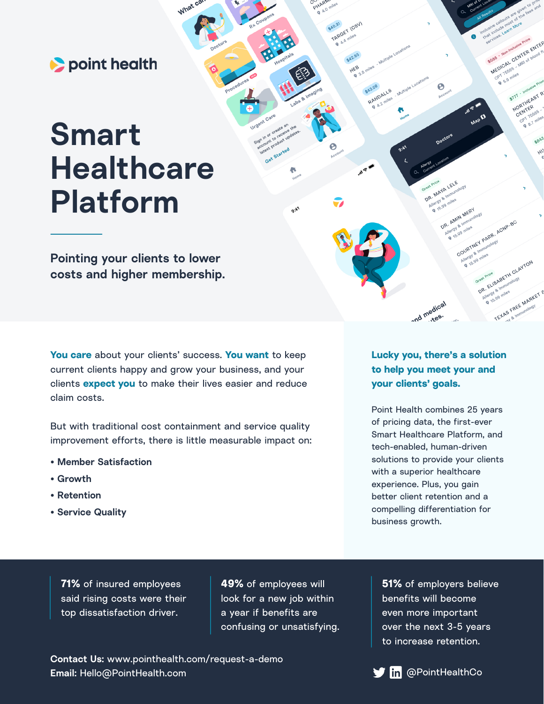point health

# **Smart Healthcare Platform**

**Pointing your clients to lower costs and higher membership.**

**You care** about your clients' success. **You want** to keep current clients happy and grow your business, and your clients **expect you** to make their lives easier and reduce claim costs.

What

But with traditional cost containment and service quality improvement efforts, there is little measurable impact on:

- **Member Satisfaction**
- **Growth**
- **Retention**
- **Service Quality**

**Lucky you, there's a solution to help you meet your and your clients' goals.**

nd medical

DR. MAYA

AMIN MERY

**IN My Members 2019** 

B miles as miles and management of ergy & Immunology

TEXAS FREE MARKET

MEDICAL Generalize Phap of Blood fi

(051)

**HEB** 

\$43.08 RANDALL

> Point Health combines 25 years of pricing data, the first-ever Smart Healthcare Platform, and tech-enabled, human-driven solutions to provide your clients with a superior healthcare experience. Plus, you gain better client retention and a compelling differentiation for business growth.

**71%** of insured employees said rising costs were their top dissatisfaction driver.

**49%** of employees will look for a new job within a year if benefits are confusing or unsatisfying.

**Contact Us:** [www.pointhealth.com/request-a-demo](http://www.pointhealth.com/request-a-demo) **Email:** [Hello@PointHealth.com](mailto:Hello%40PointHealth.com?subject=) **@PointHealthCom** @PointHealthCo

**51%** of employers believe benefits will become even more important over the next 3-5 years to increase retention.